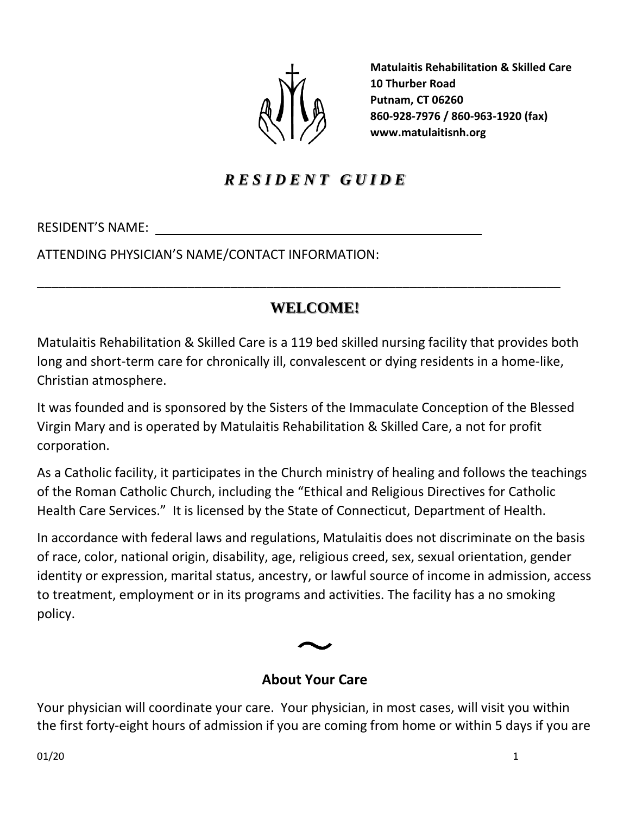

**Matulaitis Rehabilitation & Skilled Care 10 Thurber Road Putnam, CT 06260 860-928-7976 / 860-963-1920 (fax) www.matulaitisnh.org**

# *R E S I D E N T G U I D E*

RESIDENT'S NAME:

ATTENDING PHYSICIAN'S NAME/CONTACT INFORMATION:

# **WELCOME!**

\_\_\_\_\_\_\_\_\_\_\_\_\_\_\_\_\_\_\_\_\_\_\_\_\_\_\_\_\_\_\_\_\_\_\_\_\_\_\_\_\_\_\_\_\_\_\_\_\_\_\_\_\_\_\_\_\_\_\_\_\_\_\_\_\_\_\_\_\_\_\_\_\_

Matulaitis Rehabilitation & Skilled Care is a 119 bed skilled nursing facility that provides both long and short-term care for chronically ill, convalescent or dying residents in a home-like, Christian atmosphere.

It was founded and is sponsored by the Sisters of the Immaculate Conception of the Blessed Virgin Mary and is operated by Matulaitis Rehabilitation & Skilled Care, a not for profit corporation.

As a Catholic facility, it participates in the Church ministry of healing and follows the teachings of the Roman Catholic Church, including the "Ethical and Religious Directives for Catholic Health Care Services." It is licensed by the State of Connecticut, Department of Health.

In accordance with federal laws and regulations, Matulaitis does not discriminate on the basis of race, color, national origin, disability, age, religious creed, sex, sexual orientation, gender identity or expression, marital status, ancestry, or lawful source of income in admission, access to treatment, employment or in its programs and activities. The facility has a no smoking policy.



## **About Your Care**

Your physician will coordinate your care. Your physician, in most cases, will visit you within the first forty-eight hours of admission if you are coming from home or within 5 days if you are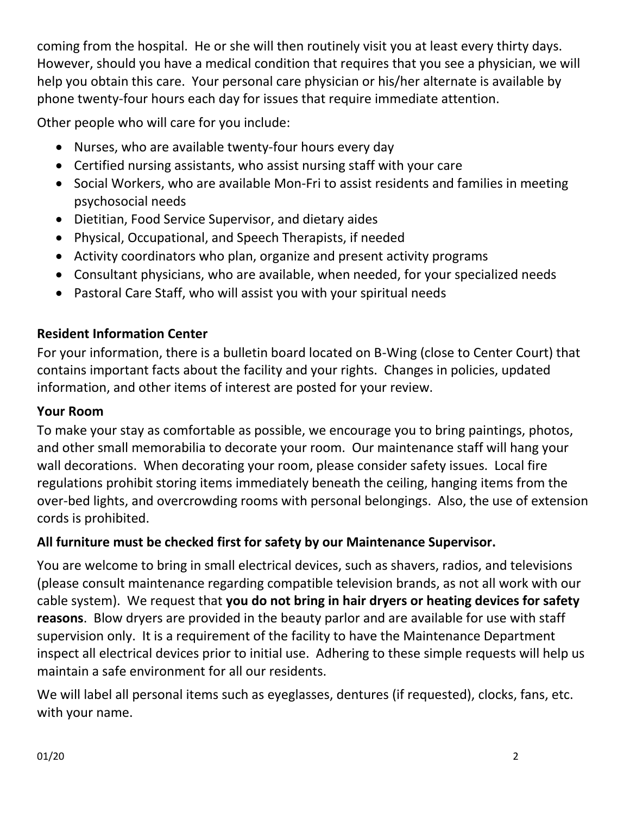coming from the hospital. He or she will then routinely visit you at least every thirty days. However, should you have a medical condition that requires that you see a physician, we will help you obtain this care. Your personal care physician or his/her alternate is available by phone twenty-four hours each day for issues that require immediate attention.

Other people who will care for you include:

- Nurses, who are available twenty-four hours every day
- Certified nursing assistants, who assist nursing staff with your care
- Social Workers, who are available Mon-Fri to assist residents and families in meeting psychosocial needs
- Dietitian, Food Service Supervisor, and dietary aides
- Physical, Occupational, and Speech Therapists, if needed
- Activity coordinators who plan, organize and present activity programs
- Consultant physicians, who are available, when needed, for your specialized needs
- Pastoral Care Staff, who will assist you with your spiritual needs

## **Resident Information Center**

For your information, there is a bulletin board located on B-Wing (close to Center Court) that contains important facts about the facility and your rights. Changes in policies, updated information, and other items of interest are posted for your review.

## **Your Room**

To make your stay as comfortable as possible, we encourage you to bring paintings, photos, and other small memorabilia to decorate your room. Our maintenance staff will hang your wall decorations. When decorating your room, please consider safety issues. Local fire regulations prohibit storing items immediately beneath the ceiling, hanging items from the over-bed lights, and overcrowding rooms with personal belongings. Also, the use of extension cords is prohibited.

## **All furniture must be checked first for safety by our Maintenance Supervisor.**

You are welcome to bring in small electrical devices, such as shavers, radios, and televisions (please consult maintenance regarding compatible television brands, as not all work with our cable system). We request that **you do not bring in hair dryers or heating devices for safety reasons**. Blow dryers are provided in the beauty parlor and are available for use with staff supervision only. It is a requirement of the facility to have the Maintenance Department inspect all electrical devices prior to initial use. Adhering to these simple requests will help us maintain a safe environment for all our residents.

We will label all personal items such as eyeglasses, dentures (if requested), clocks, fans, etc. with your name.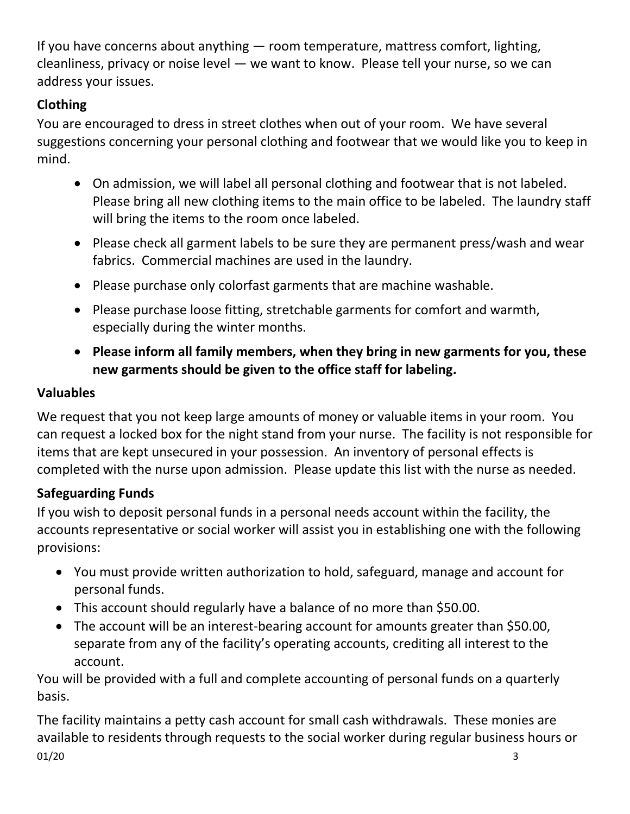If you have concerns about anything — room temperature, mattress comfort, lighting, cleanliness, privacy or noise level — we want to know. Please tell your nurse, so we can address your issues.

# **Clothing**

You are encouraged to dress in street clothes when out of your room. We have several suggestions concerning your personal clothing and footwear that we would like you to keep in mind.

- On admission, we will label all personal clothing and footwear that is not labeled. Please bring all new clothing items to the main office to be labeled. The laundry staff will bring the items to the room once labeled.
- Please check all garment labels to be sure they are permanent press/wash and wear fabrics. Commercial machines are used in the laundry.
- Please purchase only colorfast garments that are machine washable.
- Please purchase loose fitting, stretchable garments for comfort and warmth, especially during the winter months.
- **Please inform all family members, when they bring in new garments for you, these new garments should be given to the office staff for labeling.**

# **Valuables**

We request that you not keep large amounts of money or valuable items in your room. You can request a locked box for the night stand from your nurse. The facility is not responsible for items that are kept unsecured in your possession. An inventory of personal effects is completed with the nurse upon admission. Please update this list with the nurse as needed.

# **Safeguarding Funds**

If you wish to deposit personal funds in a personal needs account within the facility, the accounts representative or social worker will assist you in establishing one with the following provisions:

- You must provide written authorization to hold, safeguard, manage and account for personal funds.
- This account should regularly have a balance of no more than \$50.00.
- The account will be an interest-bearing account for amounts greater than \$50.00, separate from any of the facility's operating accounts, crediting all interest to the account.

You will be provided with a full and complete accounting of personal funds on a quarterly basis.

 $01/20$  3 The facility maintains a petty cash account for small cash withdrawals. These monies are available to residents through requests to the social worker during regular business hours or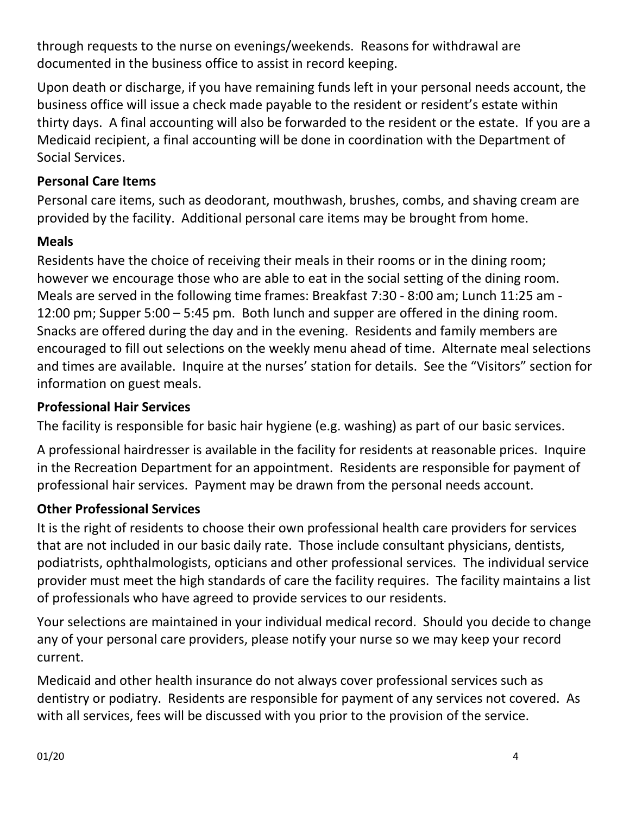through requests to the nurse on evenings/weekends. Reasons for withdrawal are documented in the business office to assist in record keeping.

Upon death or discharge, if you have remaining funds left in your personal needs account, the business office will issue a check made payable to the resident or resident's estate within thirty days. A final accounting will also be forwarded to the resident or the estate. If you are a Medicaid recipient, a final accounting will be done in coordination with the Department of Social Services.

# **Personal Care Items**

Personal care items, such as deodorant, mouthwash, brushes, combs, and shaving cream are provided by the facility. Additional personal care items may be brought from home.

## **Meals**

Residents have the choice of receiving their meals in their rooms or in the dining room; however we encourage those who are able to eat in the social setting of the dining room. Meals are served in the following time frames: Breakfast 7:30 - 8:00 am; Lunch 11:25 am - 12:00 pm; Supper 5:00 – 5:45 pm. Both lunch and supper are offered in the dining room. Snacks are offered during the day and in the evening. Residents and family members are encouraged to fill out selections on the weekly menu ahead of time. Alternate meal selections and times are available. Inquire at the nurses' station for details. See the "Visitors" section for information on guest meals.

## **Professional Hair Services**

The facility is responsible for basic hair hygiene (e.g. washing) as part of our basic services.

A professional hairdresser is available in the facility for residents at reasonable prices. Inquire in the Recreation Department for an appointment. Residents are responsible for payment of professional hair services. Payment may be drawn from the personal needs account.

## **Other Professional Services**

It is the right of residents to choose their own professional health care providers for services that are not included in our basic daily rate. Those include consultant physicians, dentists, podiatrists, ophthalmologists, opticians and other professional services. The individual service provider must meet the high standards of care the facility requires. The facility maintains a list of professionals who have agreed to provide services to our residents.

Your selections are maintained in your individual medical record. Should you decide to change any of your personal care providers, please notify your nurse so we may keep your record current.

Medicaid and other health insurance do not always cover professional services such as dentistry or podiatry. Residents are responsible for payment of any services not covered. As with all services, fees will be discussed with you prior to the provision of the service.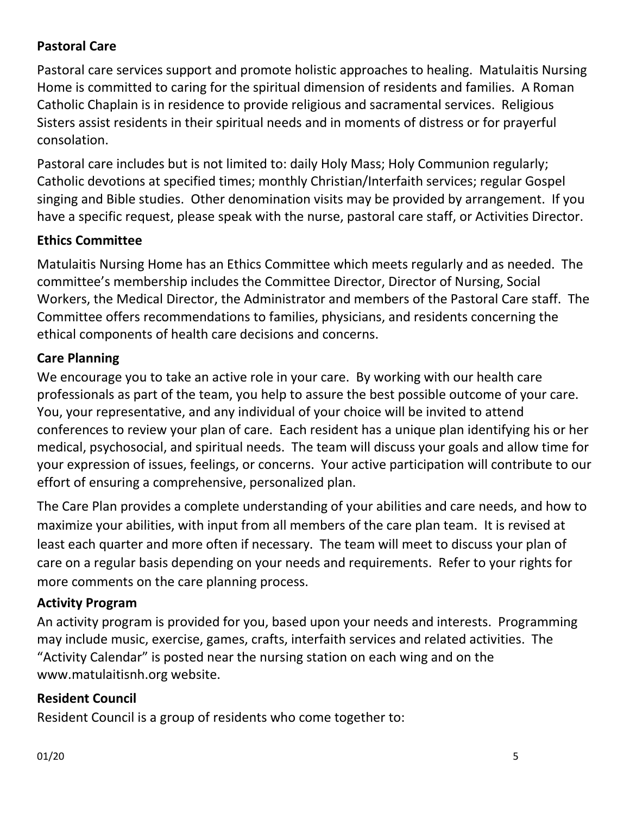# **Pastoral Care**

Pastoral care services support and promote holistic approaches to healing. Matulaitis Nursing Home is committed to caring for the spiritual dimension of residents and families. A Roman Catholic Chaplain is in residence to provide religious and sacramental services. Religious Sisters assist residents in their spiritual needs and in moments of distress or for prayerful consolation.

Pastoral care includes but is not limited to: daily Holy Mass; Holy Communion regularly; Catholic devotions at specified times; monthly Christian/Interfaith services; regular Gospel singing and Bible studies. Other denomination visits may be provided by arrangement. If you have a specific request, please speak with the nurse, pastoral care staff, or Activities Director.

## **Ethics Committee**

Matulaitis Nursing Home has an Ethics Committee which meets regularly and as needed. The committee's membership includes the Committee Director, Director of Nursing, Social Workers, the Medical Director, the Administrator and members of the Pastoral Care staff. The Committee offers recommendations to families, physicians, and residents concerning the ethical components of health care decisions and concerns.

## **Care Planning**

We encourage you to take an active role in your care. By working with our health care professionals as part of the team, you help to assure the best possible outcome of your care. You, your representative, and any individual of your choice will be invited to attend conferences to review your plan of care. Each resident has a unique plan identifying his or her medical, psychosocial, and spiritual needs. The team will discuss your goals and allow time for your expression of issues, feelings, or concerns. Your active participation will contribute to our effort of ensuring a comprehensive, personalized plan.

The Care Plan provides a complete understanding of your abilities and care needs, and how to maximize your abilities, with input from all members of the care plan team. It is revised at least each quarter and more often if necessary. The team will meet to discuss your plan of care on a regular basis depending on your needs and requirements. Refer to your rights for more comments on the care planning process.

## **Activity Program**

An activity program is provided for you, based upon your needs and interests. Programming may include music, exercise, games, crafts, interfaith services and related activities. The "Activity Calendar" is posted near the nursing station on each wing and on the www.matulaitisnh.org website.

## **Resident Council**

Resident Council is a group of residents who come together to: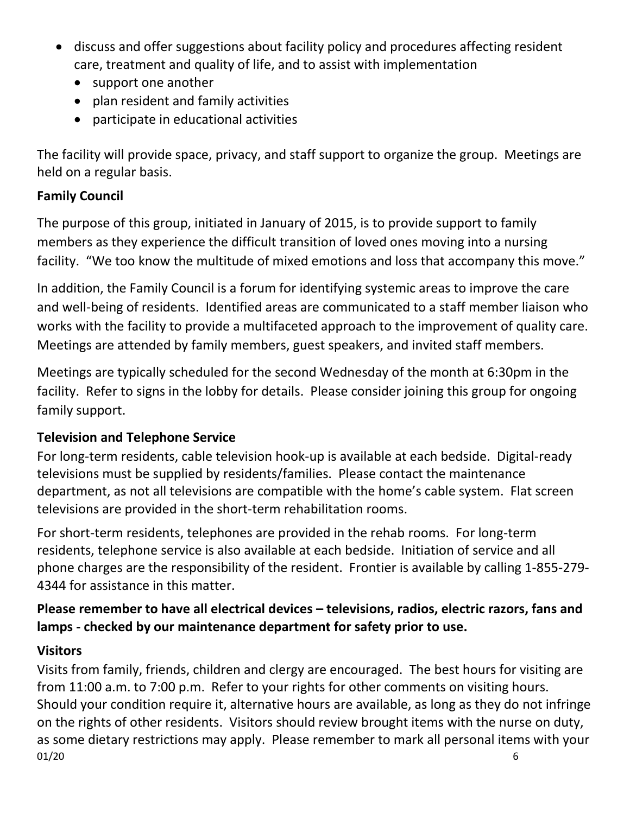- discuss and offer suggestions about facility policy and procedures affecting resident care, treatment and quality of life, and to assist with implementation
	- support one another
	- plan resident and family activities
	- participate in educational activities

The facility will provide space, privacy, and staff support to organize the group. Meetings are held on a regular basis.

# **Family Council**

The purpose of this group, initiated in January of 2015, is to provide support to family members as they experience the difficult transition of loved ones moving into a nursing facility. "We too know the multitude of mixed emotions and loss that accompany this move."

In addition, the Family Council is a forum for identifying systemic areas to improve the care and well-being of residents. Identified areas are communicated to a staff member liaison who works with the facility to provide a multifaceted approach to the improvement of quality care. Meetings are attended by family members, guest speakers, and invited staff members.

Meetings are typically scheduled for the second Wednesday of the month at 6:30pm in the facility. Refer to signs in the lobby for details. Please consider joining this group for ongoing family support.

# **Television and Telephone Service**

For long-term residents, cable television hook-up is available at each bedside. Digital-ready televisions must be supplied by residents/families. Please contact the maintenance department, as not all televisions are compatible with the home's cable system. Flat screen televisions are provided in the short-term rehabilitation rooms.

For short-term residents, telephones are provided in the rehab rooms. For long-term residents, telephone service is also available at each bedside. Initiation of service and all phone charges are the responsibility of the resident. Frontier is available by calling 1-855-279- 4344 for assistance in this matter.

# **Please remember to have all electrical devices – televisions, radios, electric razors, fans and lamps - checked by our maintenance department for safety prior to use.**

# **Visitors**

01/20 6 Visits from family, friends, children and clergy are encouraged. The best hours for visiting are from 11:00 a.m. to 7:00 p.m. Refer to your rights for other comments on visiting hours. Should your condition require it, alternative hours are available, as long as they do not infringe on the rights of other residents. Visitors should review brought items with the nurse on duty, as some dietary restrictions may apply. Please remember to mark all personal items with your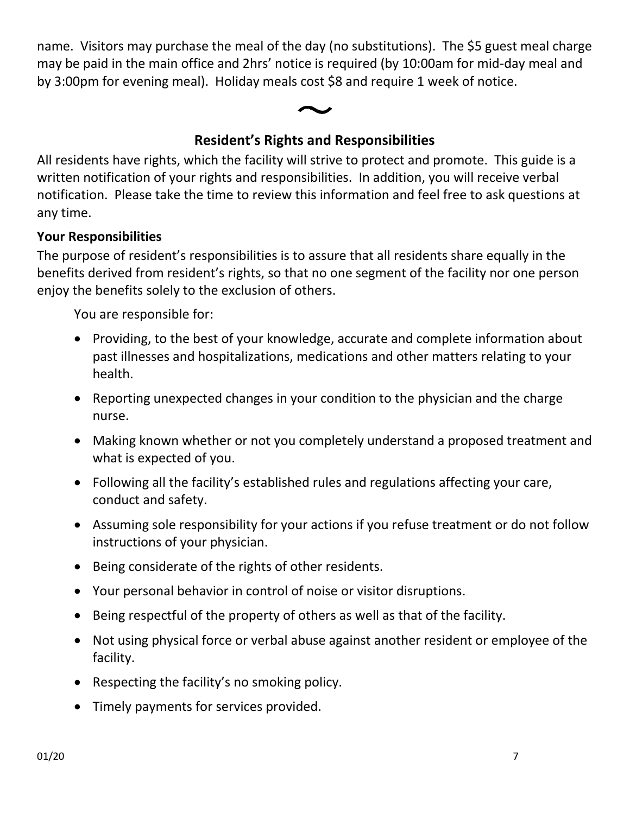name. Visitors may purchase the meal of the day (no substitutions). The \$5 guest meal charge may be paid in the main office and 2hrs' notice is required (by 10:00am for mid-day meal and by 3:00pm for evening meal). Holiday meals cost \$8 and require 1 week of notice.



# **Resident's Rights and Responsibilities**

All residents have rights, which the facility will strive to protect and promote. This guide is a written notification of your rights and responsibilities. In addition, you will receive verbal notification. Please take the time to review this information and feel free to ask questions at any time.

## **Your Responsibilities**

The purpose of resident's responsibilities is to assure that all residents share equally in the benefits derived from resident's rights, so that no one segment of the facility nor one person enjoy the benefits solely to the exclusion of others.

You are responsible for:

- Providing, to the best of your knowledge, accurate and complete information about past illnesses and hospitalizations, medications and other matters relating to your health.
- Reporting unexpected changes in your condition to the physician and the charge nurse.
- Making known whether or not you completely understand a proposed treatment and what is expected of you.
- Following all the facility's established rules and regulations affecting your care, conduct and safety.
- Assuming sole responsibility for your actions if you refuse treatment or do not follow instructions of your physician.
- Being considerate of the rights of other residents.
- Your personal behavior in control of noise or visitor disruptions.
- Being respectful of the property of others as well as that of the facility.
- Not using physical force or verbal abuse against another resident or employee of the facility.
- Respecting the facility's no smoking policy.
- Timely payments for services provided.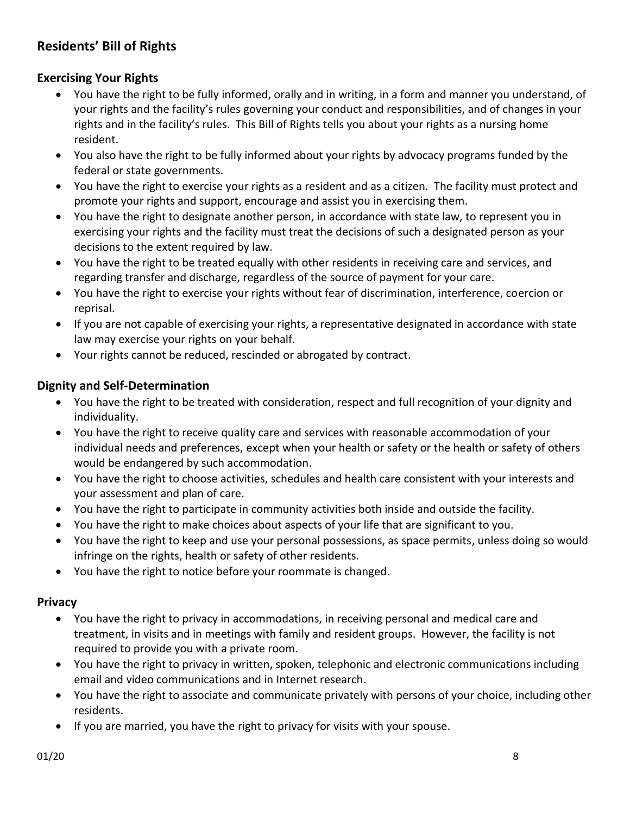## **Residents' Bill of Rights**

#### **Exercising Your Rights**

- You have the right to be fully informed, orally and in writing, in a form and manner you understand, of your rights and the facility's rules governing your conduct and responsibilities, and of changes in your rights and in the facility's rules. This Bill of Rights tells you about your rights as a nursing home resident.
- You also have the right to be fully informed about your rights by advocacy programs funded by the federal or state governments.
- You have the right to exercise your rights as a resident and as a citizen. The facility must protect and promote your rights and support, encourage and assist you in exercising them.
- You have the right to designate another person, in accordance with state law, to represent you in exercising your rights and the facility must treat the decisions of such a designated person as your decisions to the extent required by law.
- You have the right to be treated equally with other residents in receiving care and services, and regarding transfer and discharge, regardless of the source of payment for your care.
- You have the right to exercise your rights without fear of discrimination, interference, coercion or reprisal.
- If you are not capable of exercising your rights, a representative designated in accordance with state law may exercise your rights on your behalf.
- Your rights cannot be reduced, rescinded or abrogated by contract.

#### **Dignity and Self-Determination**

- You have the right to be treated with consideration, respect and full recognition of your dignity and individuality.
- You have the right to receive quality care and services with reasonable accommodation of your individual needs and preferences, except when your health or safety or the health or safety of others would be endangered by such accommodation.
- You have the right to choose activities, schedules and health care consistent with your interests and your assessment and plan of care.
- You have the right to participate in community activities both inside and outside the facility.
- You have the right to make choices about aspects of your life that are significant to you.
- You have the right to keep and use your personal possessions, as space permits, unless doing so would infringe on the rights, health or safety of other residents.
- You have the right to notice before your roommate is changed.

#### **Privacy**

- You have the right to privacy in accommodations, in receiving personal and medical care and treatment, in visits and in meetings with family and resident groups. However, the facility is not required to provide you with a private room.
- You have the right to privacy in written, spoken, telephonic and electronic communications including email and video communications and in Internet research.
- You have the right to associate and communicate privately with persons of your choice, including other residents.
- If you are married, you have the right to privacy for visits with your spouse.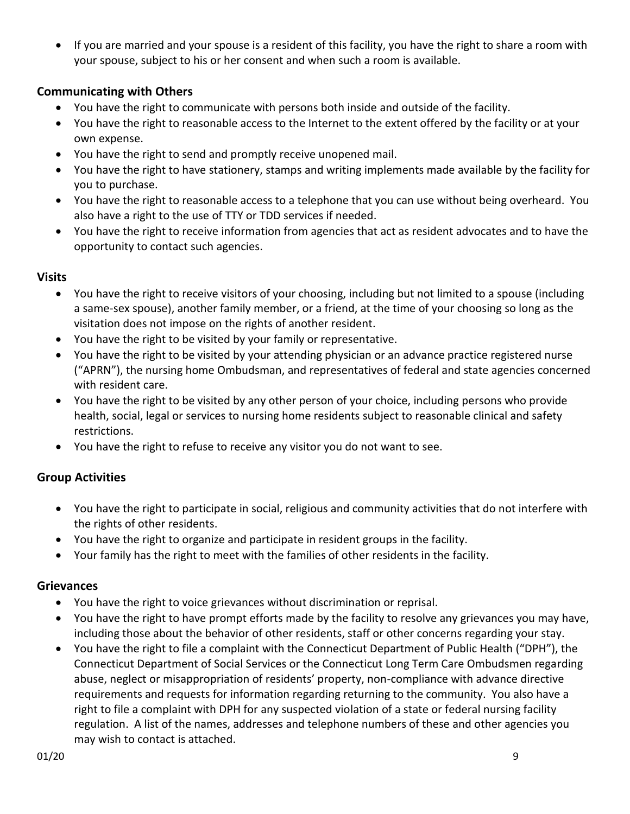If you are married and your spouse is a resident of this facility, you have the right to share a room with your spouse, subject to his or her consent and when such a room is available.

#### **Communicating with Others**

- You have the right to communicate with persons both inside and outside of the facility.
- You have the right to reasonable access to the Internet to the extent offered by the facility or at your own expense.
- You have the right to send and promptly receive unopened mail.
- You have the right to have stationery, stamps and writing implements made available by the facility for you to purchase.
- You have the right to reasonable access to a telephone that you can use without being overheard. You also have a right to the use of TTY or TDD services if needed.
- You have the right to receive information from agencies that act as resident advocates and to have the opportunity to contact such agencies.

#### **Visits**

- You have the right to receive visitors of your choosing, including but not limited to a spouse (including a same-sex spouse), another family member, or a friend, at the time of your choosing so long as the visitation does not impose on the rights of another resident.
- You have the right to be visited by your family or representative.
- You have the right to be visited by your attending physician or an advance practice registered nurse ("APRN"), the nursing home Ombudsman, and representatives of federal and state agencies concerned with resident care.
- You have the right to be visited by any other person of your choice, including persons who provide health, social, legal or services to nursing home residents subject to reasonable clinical and safety restrictions.
- You have the right to refuse to receive any visitor you do not want to see.

#### **Group Activities**

- You have the right to participate in social, religious and community activities that do not interfere with the rights of other residents.
- You have the right to organize and participate in resident groups in the facility.
- Your family has the right to meet with the families of other residents in the facility.

#### **Grievances**

- You have the right to voice grievances without discrimination or reprisal.
- You have the right to have prompt efforts made by the facility to resolve any grievances you may have, including those about the behavior of other residents, staff or other concerns regarding your stay.
- You have the right to file a complaint with the Connecticut Department of Public Health ("DPH"), the Connecticut Department of Social Services or the Connecticut Long Term Care Ombudsmen regarding abuse, neglect or misappropriation of residents' property, non-compliance with advance directive requirements and requests for information regarding returning to the community. You also have a right to file a complaint with DPH for any suspected violation of a state or federal nursing facility regulation. A list of the names, addresses and telephone numbers of these and other agencies you may wish to contact is attached.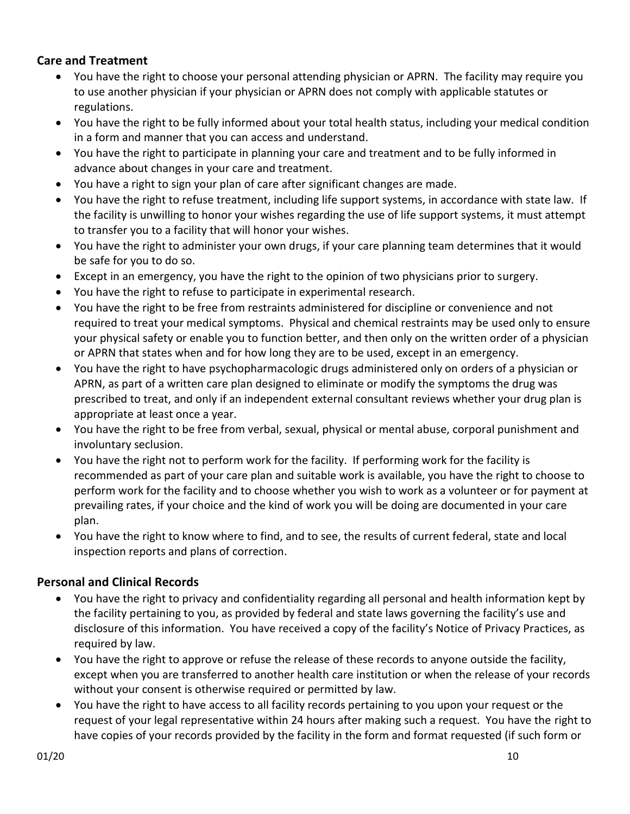#### **Care and Treatment**

- You have the right to choose your personal attending physician or APRN. The facility may require you to use another physician if your physician or APRN does not comply with applicable statutes or regulations.
- You have the right to be fully informed about your total health status, including your medical condition in a form and manner that you can access and understand.
- You have the right to participate in planning your care and treatment and to be fully informed in advance about changes in your care and treatment.
- You have a right to sign your plan of care after significant changes are made.
- You have the right to refuse treatment, including life support systems, in accordance with state law. If the facility is unwilling to honor your wishes regarding the use of life support systems, it must attempt to transfer you to a facility that will honor your wishes.
- You have the right to administer your own drugs, if your care planning team determines that it would be safe for you to do so.
- Except in an emergency, you have the right to the opinion of two physicians prior to surgery.
- You have the right to refuse to participate in experimental research.
- You have the right to be free from restraints administered for discipline or convenience and not required to treat your medical symptoms. Physical and chemical restraints may be used only to ensure your physical safety or enable you to function better, and then only on the written order of a physician or APRN that states when and for how long they are to be used, except in an emergency.
- You have the right to have psychopharmacologic drugs administered only on orders of a physician or APRN, as part of a written care plan designed to eliminate or modify the symptoms the drug was prescribed to treat, and only if an independent external consultant reviews whether your drug plan is appropriate at least once a year.
- You have the right to be free from verbal, sexual, physical or mental abuse, corporal punishment and involuntary seclusion.
- You have the right not to perform work for the facility. If performing work for the facility is recommended as part of your care plan and suitable work is available, you have the right to choose to perform work for the facility and to choose whether you wish to work as a volunteer or for payment at prevailing rates, if your choice and the kind of work you will be doing are documented in your care plan.
- You have the right to know where to find, and to see, the results of current federal, state and local inspection reports and plans of correction.

#### **Personal and Clinical Records**

- You have the right to privacy and confidentiality regarding all personal and health information kept by the facility pertaining to you, as provided by federal and state laws governing the facility's use and disclosure of this information. You have received a copy of the facility's Notice of Privacy Practices, as required by law.
- You have the right to approve or refuse the release of these records to anyone outside the facility, except when you are transferred to another health care institution or when the release of your records without your consent is otherwise required or permitted by law.
- You have the right to have access to all facility records pertaining to you upon your request or the request of your legal representative within 24 hours after making such a request. You have the right to have copies of your records provided by the facility in the form and format requested (if such form or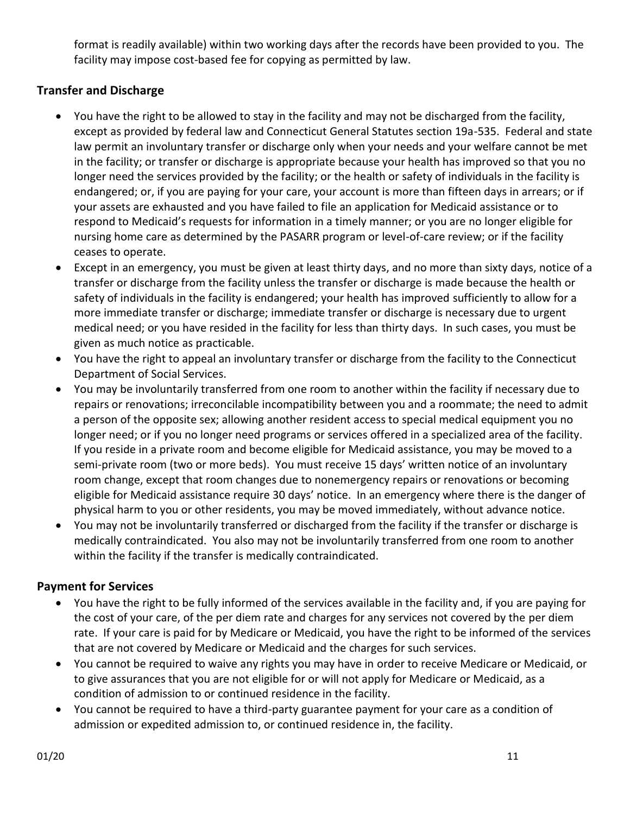format is readily available) within two working days after the records have been provided to you. The facility may impose cost-based fee for copying as permitted by law.

## **Transfer and Discharge**

- You have the right to be allowed to stay in the facility and may not be discharged from the facility, except as provided by federal law and Connecticut General Statutes section 19a-535. Federal and state law permit an involuntary transfer or discharge only when your needs and your welfare cannot be met in the facility; or transfer or discharge is appropriate because your health has improved so that you no longer need the services provided by the facility; or the health or safety of individuals in the facility is endangered; or, if you are paying for your care, your account is more than fifteen days in arrears; or if your assets are exhausted and you have failed to file an application for Medicaid assistance or to respond to Medicaid's requests for information in a timely manner; or you are no longer eligible for nursing home care as determined by the PASARR program or level-of-care review; or if the facility ceases to operate.
- Except in an emergency, you must be given at least thirty days, and no more than sixty days, notice of a transfer or discharge from the facility unless the transfer or discharge is made because the health or safety of individuals in the facility is endangered; your health has improved sufficiently to allow for a more immediate transfer or discharge; immediate transfer or discharge is necessary due to urgent medical need; or you have resided in the facility for less than thirty days. In such cases, you must be given as much notice as practicable.
- You have the right to appeal an involuntary transfer or discharge from the facility to the Connecticut Department of Social Services.
- You may be involuntarily transferred from one room to another within the facility if necessary due to repairs or renovations; irreconcilable incompatibility between you and a roommate; the need to admit a person of the opposite sex; allowing another resident access to special medical equipment you no longer need; or if you no longer need programs or services offered in a specialized area of the facility. If you reside in a private room and become eligible for Medicaid assistance, you may be moved to a semi-private room (two or more beds). You must receive 15 days' written notice of an involuntary room change, except that room changes due to nonemergency repairs or renovations or becoming eligible for Medicaid assistance require 30 days' notice. In an emergency where there is the danger of physical harm to you or other residents, you may be moved immediately, without advance notice.
- You may not be involuntarily transferred or discharged from the facility if the transfer or discharge is medically contraindicated. You also may not be involuntarily transferred from one room to another within the facility if the transfer is medically contraindicated.

#### **Payment for Services**

- You have the right to be fully informed of the services available in the facility and, if you are paying for the cost of your care, of the per diem rate and charges for any services not covered by the per diem rate. If your care is paid for by Medicare or Medicaid, you have the right to be informed of the services that are not covered by Medicare or Medicaid and the charges for such services.
- You cannot be required to waive any rights you may have in order to receive Medicare or Medicaid, or to give assurances that you are not eligible for or will not apply for Medicare or Medicaid, as a condition of admission to or continued residence in the facility.
- You cannot be required to have a third-party guarantee payment for your care as a condition of admission or expedited admission to, or continued residence in, the facility.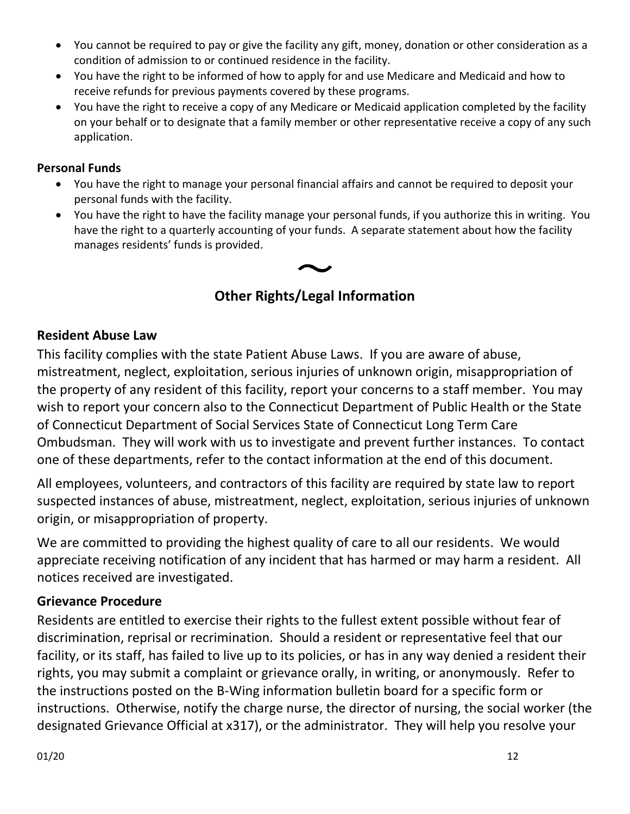- You cannot be required to pay or give the facility any gift, money, donation or other consideration as a condition of admission to or continued residence in the facility.
- You have the right to be informed of how to apply for and use Medicare and Medicaid and how to receive refunds for previous payments covered by these programs.
- You have the right to receive a copy of any Medicare or Medicaid application completed by the facility on your behalf or to designate that a family member or other representative receive a copy of any such application.

#### **Personal Funds**

- You have the right to manage your personal financial affairs and cannot be required to deposit your personal funds with the facility.
- You have the right to have the facility manage your personal funds, if you authorize this in writing. You have the right to a quarterly accounting of your funds. A separate statement about how the facility manages residents' funds is provided.

# **Other Rights/Legal Information**

## **Resident Abuse Law**

This facility complies with the state Patient Abuse Laws. If you are aware of abuse, mistreatment, neglect, exploitation, serious injuries of unknown origin, misappropriation of the property of any resident of this facility, report your concerns to a staff member. You may wish to report your concern also to the Connecticut Department of Public Health or the State of Connecticut Department of Social Services State of Connecticut Long Term Care Ombudsman. They will work with us to investigate and prevent further instances. To contact one of these departments, refer to the contact information at the end of this document.

All employees, volunteers, and contractors of this facility are required by state law to report suspected instances of abuse, mistreatment, neglect, exploitation, serious injuries of unknown origin, or misappropriation of property.

We are committed to providing the highest quality of care to all our residents. We would appreciate receiving notification of any incident that has harmed or may harm a resident. All notices received are investigated.

## **Grievance Procedure**

Residents are entitled to exercise their rights to the fullest extent possible without fear of discrimination, reprisal or recrimination. Should a resident or representative feel that our facility, or its staff, has failed to live up to its policies, or has in any way denied a resident their rights, you may submit a complaint or grievance orally, in writing, or anonymously. Refer to the instructions posted on the B-Wing information bulletin board for a specific form or instructions. Otherwise, notify the charge nurse, the director of nursing, the social worker (the designated Grievance Official at x317), or the administrator. They will help you resolve your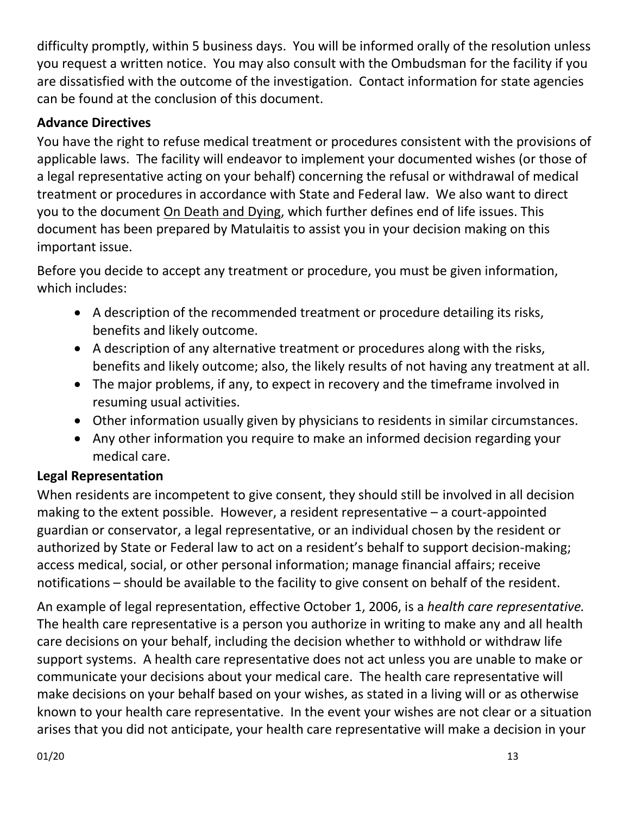difficulty promptly, within 5 business days. You will be informed orally of the resolution unless you request a written notice. You may also consult with the Ombudsman for the facility if you are dissatisfied with the outcome of the investigation. Contact information for state agencies can be found at the conclusion of this document.

## **Advance Directives**

You have the right to refuse medical treatment or procedures consistent with the provisions of applicable laws. The facility will endeavor to implement your documented wishes (or those of a legal representative acting on your behalf) concerning the refusal or withdrawal of medical treatment or procedures in accordance with State and Federal law. We also want to direct you to the document On Death and Dying, which further defines end of life issues. This document has been prepared by Matulaitis to assist you in your decision making on this important issue.

Before you decide to accept any treatment or procedure, you must be given information, which includes:

- A description of the recommended treatment or procedure detailing its risks, benefits and likely outcome.
- A description of any alternative treatment or procedures along with the risks, benefits and likely outcome; also, the likely results of not having any treatment at all.
- The major problems, if any, to expect in recovery and the timeframe involved in resuming usual activities.
- Other information usually given by physicians to residents in similar circumstances.
- Any other information you require to make an informed decision regarding your medical care.

## **Legal Representation**

When residents are incompetent to give consent, they should still be involved in all decision making to the extent possible. However, a resident representative – a court-appointed guardian or conservator, a legal representative, or an individual chosen by the resident or authorized by State or Federal law to act on a resident's behalf to support decision-making; access medical, social, or other personal information; manage financial affairs; receive notifications – should be available to the facility to give consent on behalf of the resident.

An example of legal representation, effective October 1, 2006, is a *health care representative.*  The health care representative is a person you authorize in writing to make any and all health care decisions on your behalf, including the decision whether to withhold or withdraw life support systems. A health care representative does not act unless you are unable to make or communicate your decisions about your medical care. The health care representative will make decisions on your behalf based on your wishes, as stated in a living will or as otherwise known to your health care representative. In the event your wishes are not clear or a situation arises that you did not anticipate, your health care representative will make a decision in your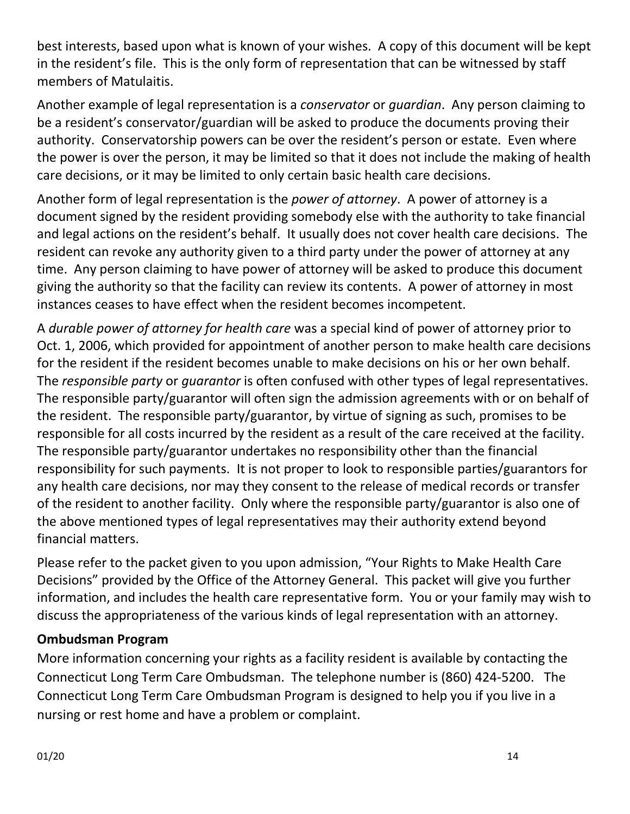best interests, based upon what is known of your wishes. A copy of this document will be kept in the resident's file. This is the only form of representation that can be witnessed by staff members of Matulaitis.

Another example of legal representation is a *conservator* or *guardian*. Any person claiming to be a resident's conservator/guardian will be asked to produce the documents proving their authority. Conservatorship powers can be over the resident's person or estate. Even where the power is over the person, it may be limited so that it does not include the making of health care decisions, or it may be limited to only certain basic health care decisions.

Another form of legal representation is the *power of attorney*. A power of attorney is a document signed by the resident providing somebody else with the authority to take financial and legal actions on the resident's behalf. It usually does not cover health care decisions. The resident can revoke any authority given to a third party under the power of attorney at any time. Any person claiming to have power of attorney will be asked to produce this document giving the authority so that the facility can review its contents. A power of attorney in most instances ceases to have effect when the resident becomes incompetent.

A *durable power of attorney for health care* was a special kind of power of attorney prior to Oct. 1, 2006, which provided for appointment of another person to make health care decisions for the resident if the resident becomes unable to make decisions on his or her own behalf. The *responsible party* or *guarantor* is often confused with other types of legal representatives. The responsible party/guarantor will often sign the admission agreements with or on behalf of the resident. The responsible party/guarantor, by virtue of signing as such, promises to be responsible for all costs incurred by the resident as a result of the care received at the facility. The responsible party/guarantor undertakes no responsibility other than the financial responsibility for such payments. It is not proper to look to responsible parties/guarantors for any health care decisions, nor may they consent to the release of medical records or transfer of the resident to another facility. Only where the responsible party/guarantor is also one of the above mentioned types of legal representatives may their authority extend beyond financial matters.

Please refer to the packet given to you upon admission, "Your Rights to Make Health Care Decisions" provided by the Office of the Attorney General. This packet will give you further information, and includes the health care representative form. You or your family may wish to discuss the appropriateness of the various kinds of legal representation with an attorney.

## **Ombudsman Program**

More information concerning your rights as a facility resident is available by contacting the Connecticut Long Term Care Ombudsman. The telephone number is (860) 424-5200. The Connecticut Long Term Care Ombudsman Program is designed to help you if you live in a nursing or rest home and have a problem or complaint.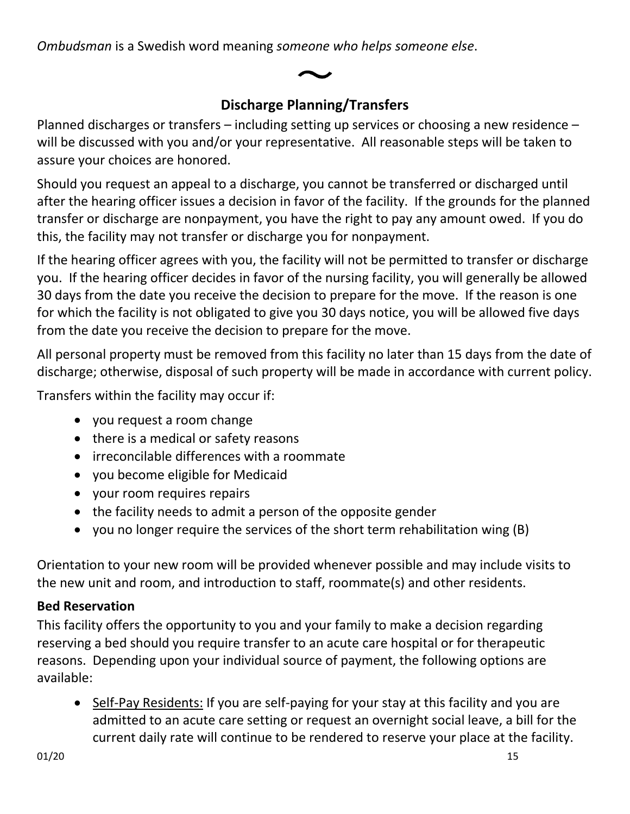*Ombudsman* is a Swedish word meaning *someone who helps someone else*.

# **Discharge Planning/Transfers**

Planned discharges or transfers – including setting up services or choosing a new residence – will be discussed with you and/or your representative. All reasonable steps will be taken to assure your choices are honored.

Should you request an appeal to a discharge, you cannot be transferred or discharged until after the hearing officer issues a decision in favor of the facility. If the grounds for the planned transfer or discharge are nonpayment, you have the right to pay any amount owed. If you do this, the facility may not transfer or discharge you for nonpayment.

If the hearing officer agrees with you, the facility will not be permitted to transfer or discharge you. If the hearing officer decides in favor of the nursing facility, you will generally be allowed 30 days from the date you receive the decision to prepare for the move. If the reason is one for which the facility is not obligated to give you 30 days notice, you will be allowed five days from the date you receive the decision to prepare for the move.

All personal property must be removed from this facility no later than 15 days from the date of discharge; otherwise, disposal of such property will be made in accordance with current policy.

Transfers within the facility may occur if:

- you request a room change
- there is a medical or safety reasons
- irreconcilable differences with a roommate
- you become eligible for Medicaid
- your room requires repairs
- the facility needs to admit a person of the opposite gender
- you no longer require the services of the short term rehabilitation wing (B)

Orientation to your new room will be provided whenever possible and may include visits to the new unit and room, and introduction to staff, roommate(s) and other residents.

# **Bed Reservation**

This facility offers the opportunity to you and your family to make a decision regarding reserving a bed should you require transfer to an acute care hospital or for therapeutic reasons. Depending upon your individual source of payment, the following options are available:

• Self-Pay Residents: If you are self-paying for your stay at this facility and you are admitted to an acute care setting or request an overnight social leave, a bill for the current daily rate will continue to be rendered to reserve your place at the facility.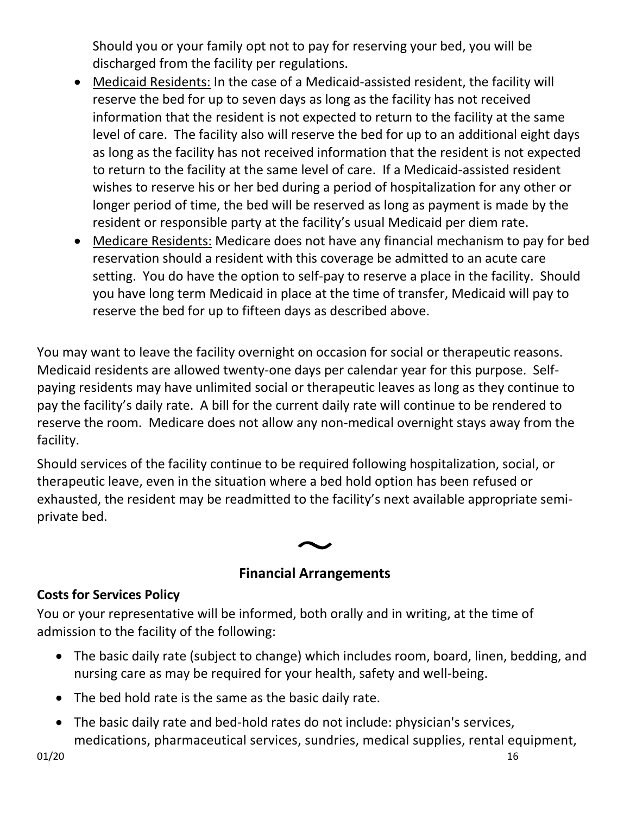Should you or your family opt not to pay for reserving your bed, you will be discharged from the facility per regulations.

- Medicaid Residents: In the case of a Medicaid-assisted resident, the facility will reserve the bed for up to seven days as long as the facility has not received information that the resident is not expected to return to the facility at the same level of care. The facility also will reserve the bed for up to an additional eight days as long as the facility has not received information that the resident is not expected to return to the facility at the same level of care. If a Medicaid-assisted resident wishes to reserve his or her bed during a period of hospitalization for any other or longer period of time, the bed will be reserved as long as payment is made by the resident or responsible party at the facility's usual Medicaid per diem rate.
- Medicare Residents: Medicare does not have any financial mechanism to pay for bed reservation should a resident with this coverage be admitted to an acute care setting. You do have the option to self-pay to reserve a place in the facility. Should you have long term Medicaid in place at the time of transfer, Medicaid will pay to reserve the bed for up to fifteen days as described above.

You may want to leave the facility overnight on occasion for social or therapeutic reasons. Medicaid residents are allowed twenty-one days per calendar year for this purpose. Selfpaying residents may have unlimited social or therapeutic leaves as long as they continue to pay the facility's daily rate. A bill for the current daily rate will continue to be rendered to reserve the room. Medicare does not allow any non-medical overnight stays away from the facility.

Should services of the facility continue to be required following hospitalization, social, or therapeutic leave, even in the situation where a bed hold option has been refused or exhausted, the resident may be readmitted to the facility's next available appropriate semiprivate bed.

# **Financial Arrangements**

## **Costs for Services Policy**

You or your representative will be informed, both orally and in writing, at the time of admission to the facility of the following:

- The basic daily rate (subject to change) which includes room, board, linen, bedding, and nursing care as may be required for your health, safety and well-being.
- The bed hold rate is the same as the basic daily rate.
- The basic daily rate and bed-hold rates do not include: physician's services, medications, pharmaceutical services, sundries, medical supplies, rental equipment,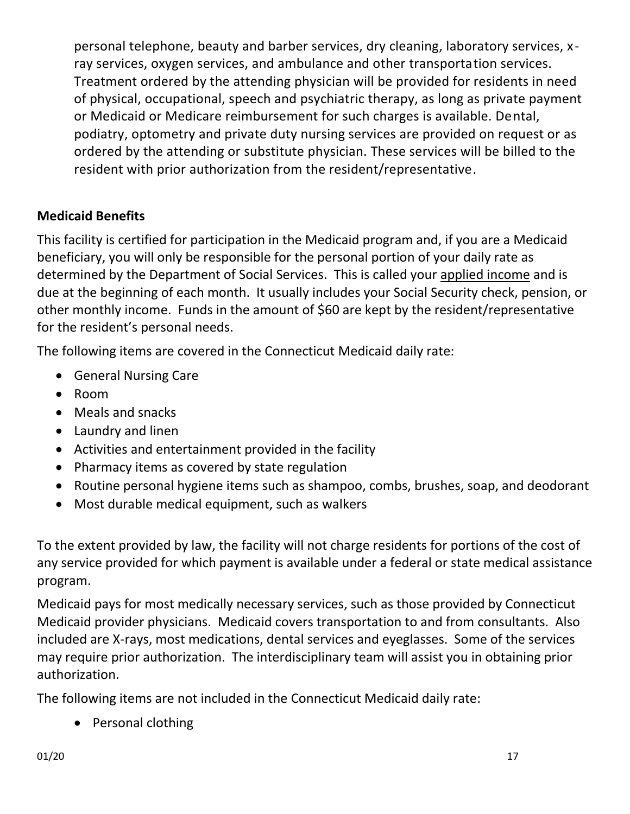personal telephone, beauty and barber services, dry cleaning, laboratory services, xray services, oxygen services, and ambulance and other transportation services. Treatment ordered by the attending physician will be provided for residents in need of physical, occupational, speech and psychiatric therapy, as long as private payment or Medicaid or Medicare reimbursement for such charges is available. Dental, podiatry, optometry and private duty nursing services are provided on request or as ordered by the attending or substitute physician. These services will be billed to the resident with prior authorization from the resident/representative.

## **Medicaid Benefits**

This facility is certified for participation in the Medicaid program and, if you are a Medicaid beneficiary, you will only be responsible for the personal portion of your daily rate as determined by the Department of Social Services. This is called your applied income and is due at the beginning of each month. It usually includes your Social Security check, pension, or other monthly income. Funds in the amount of \$60 are kept by the resident/representative for the resident's personal needs.

The following items are covered in the Connecticut Medicaid daily rate:

- General Nursing Care
- Room
- Meals and snacks
- Laundry and linen
- Activities and entertainment provided in the facility
- Pharmacy items as covered by state regulation
- Routine personal hygiene items such as shampoo, combs, brushes, soap, and deodorant
- Most durable medical equipment, such as walkers

To the extent provided by law, the facility will not charge residents for portions of the cost of any service provided for which payment is available under a federal or state medical assistance program.

Medicaid pays for most medically necessary services, such as those provided by Connecticut Medicaid provider physicians. Medicaid covers transportation to and from consultants. Also included are X-rays, most medications, dental services and eyeglasses. Some of the services may require prior authorization. The interdisciplinary team will assist you in obtaining prior authorization.

The following items are not included in the Connecticut Medicaid daily rate:

• Personal clothing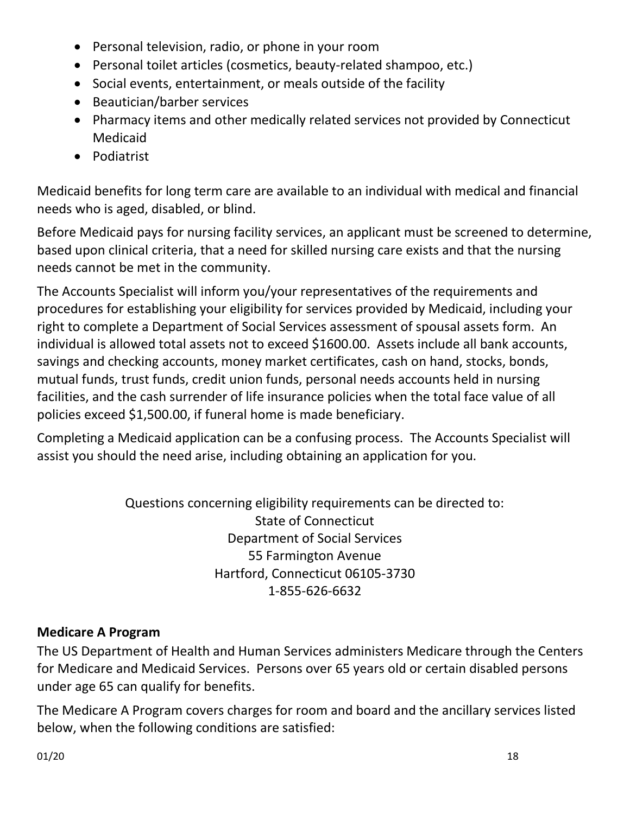- Personal television, radio, or phone in your room
- Personal toilet articles (cosmetics, beauty-related shampoo, etc.)
- Social events, entertainment, or meals outside of the facility
- Beautician/barber services
- Pharmacy items and other medically related services not provided by Connecticut Medicaid
- Podiatrist

Medicaid benefits for long term care are available to an individual with medical and financial needs who is aged, disabled, or blind.

Before Medicaid pays for nursing facility services, an applicant must be screened to determine, based upon clinical criteria, that a need for skilled nursing care exists and that the nursing needs cannot be met in the community.

The Accounts Specialist will inform you/your representatives of the requirements and procedures for establishing your eligibility for services provided by Medicaid, including your right to complete a Department of Social Services assessment of spousal assets form. An individual is allowed total assets not to exceed \$1600.00. Assets include all bank accounts, savings and checking accounts, money market certificates, cash on hand, stocks, bonds, mutual funds, trust funds, credit union funds, personal needs accounts held in nursing facilities, and the cash surrender of life insurance policies when the total face value of all policies exceed \$1,500.00, if funeral home is made beneficiary.

Completing a Medicaid application can be a confusing process. The Accounts Specialist will assist you should the need arise, including obtaining an application for you.

> Questions concerning eligibility requirements can be directed to: State of Connecticut Department of Social Services 55 Farmington Avenue Hartford, Connecticut 06105-3730 1-855-626-6632

## **Medicare A Program**

The US Department of Health and Human Services administers Medicare through the Centers for Medicare and Medicaid Services. Persons over 65 years old or certain disabled persons under age 65 can qualify for benefits.

The Medicare A Program covers charges for room and board and the ancillary services listed below, when the following conditions are satisfied: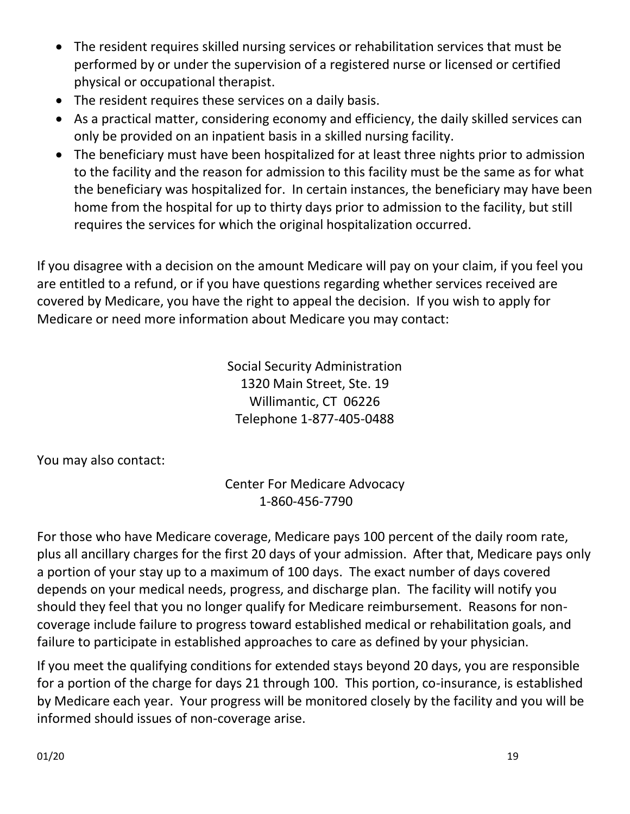- The resident requires skilled nursing services or rehabilitation services that must be performed by or under the supervision of a registered nurse or licensed or certified physical or occupational therapist.
- The resident requires these services on a daily basis.
- As a practical matter, considering economy and efficiency, the daily skilled services can only be provided on an inpatient basis in a skilled nursing facility.
- The beneficiary must have been hospitalized for at least three nights prior to admission to the facility and the reason for admission to this facility must be the same as for what the beneficiary was hospitalized for. In certain instances, the beneficiary may have been home from the hospital for up to thirty days prior to admission to the facility, but still requires the services for which the original hospitalization occurred.

If you disagree with a decision on the amount Medicare will pay on your claim, if you feel you are entitled to a refund, or if you have questions regarding whether services received are covered by Medicare, you have the right to appeal the decision. If you wish to apply for Medicare or need more information about Medicare you may contact:

> Social Security Administration 1320 Main Street, Ste. 19 Willimantic, CT 06226 Telephone 1-877-405-0488

You may also contact:

Center For Medicare Advocacy 1-860-456-7790

For those who have Medicare coverage, Medicare pays 100 percent of the daily room rate, plus all ancillary charges for the first 20 days of your admission. After that, Medicare pays only a portion of your stay up to a maximum of 100 days. The exact number of days covered depends on your medical needs, progress, and discharge plan. The facility will notify you should they feel that you no longer qualify for Medicare reimbursement. Reasons for noncoverage include failure to progress toward established medical or rehabilitation goals, and failure to participate in established approaches to care as defined by your physician.

If you meet the qualifying conditions for extended stays beyond 20 days, you are responsible for a portion of the charge for days 21 through 100. This portion, co-insurance, is established by Medicare each year. Your progress will be monitored closely by the facility and you will be informed should issues of non-coverage arise.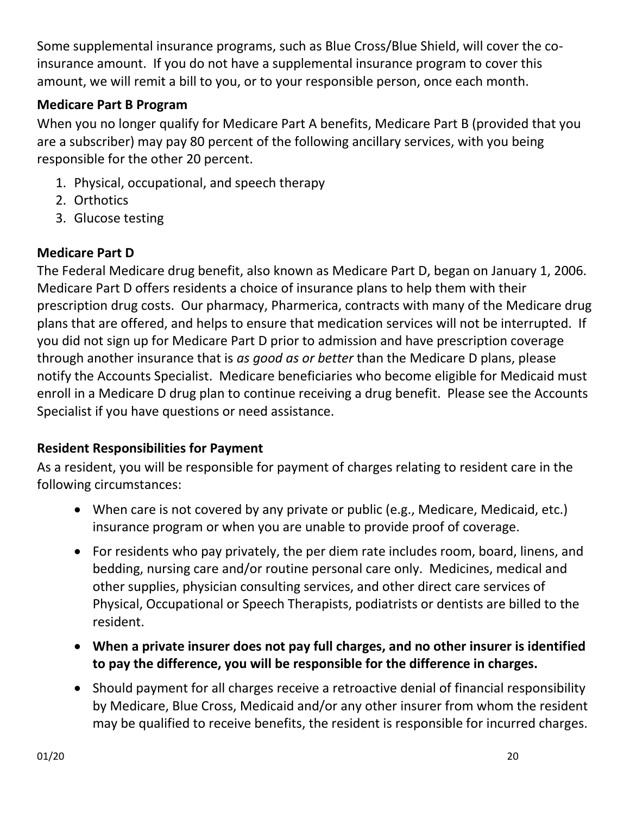Some supplemental insurance programs, such as Blue Cross/Blue Shield, will cover the coinsurance amount. If you do not have a supplemental insurance program to cover this amount, we will remit a bill to you, or to your responsible person, once each month.

# **Medicare Part B Program**

When you no longer qualify for Medicare Part A benefits, Medicare Part B (provided that you are a subscriber) may pay 80 percent of the following ancillary services, with you being responsible for the other 20 percent.

- 1. Physical, occupational, and speech therapy
- 2. Orthotics
- 3. Glucose testing

# **Medicare Part D**

The Federal Medicare drug benefit, also known as Medicare Part D, began on January 1, 2006. Medicare Part D offers residents a choice of insurance plans to help them with their prescription drug costs. Our pharmacy, Pharmerica, contracts with many of the Medicare drug plans that are offered, and helps to ensure that medication services will not be interrupted. If you did not sign up for Medicare Part D prior to admission and have prescription coverage through another insurance that is *as good as or better* than the Medicare D plans, please notify the Accounts Specialist. Medicare beneficiaries who become eligible for Medicaid must enroll in a Medicare D drug plan to continue receiving a drug benefit. Please see the Accounts Specialist if you have questions or need assistance.

## **Resident Responsibilities for Payment**

As a resident, you will be responsible for payment of charges relating to resident care in the following circumstances:

- When care is not covered by any private or public (e.g., Medicare, Medicaid, etc.) insurance program or when you are unable to provide proof of coverage.
- For residents who pay privately, the per diem rate includes room, board, linens, and bedding, nursing care and/or routine personal care only. Medicines, medical and other supplies, physician consulting services, and other direct care services of Physical, Occupational or Speech Therapists, podiatrists or dentists are billed to the resident.
- **When a private insurer does not pay full charges, and no other insurer is identified to pay the difference, you will be responsible for the difference in charges.**
- Should payment for all charges receive a retroactive denial of financial responsibility by Medicare, Blue Cross, Medicaid and/or any other insurer from whom the resident may be qualified to receive benefits, the resident is responsible for incurred charges.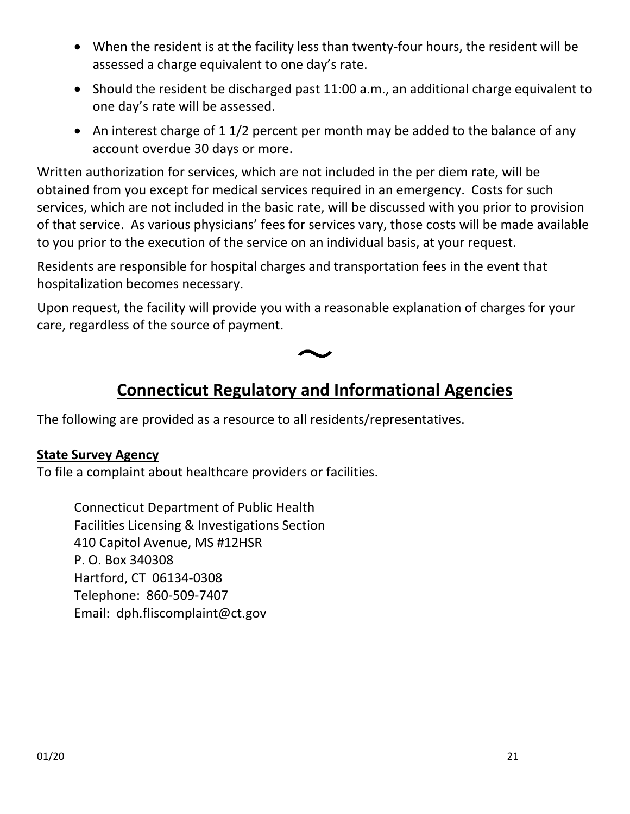- When the resident is at the facility less than twenty-four hours, the resident will be assessed a charge equivalent to one day's rate.
- Should the resident be discharged past 11:00 a.m., an additional charge equivalent to one day's rate will be assessed.
- An interest charge of 1 1/2 percent per month may be added to the balance of any account overdue 30 days or more.

Written authorization for services, which are not included in the per diem rate, will be obtained from you except for medical services required in an emergency. Costs for such services, which are not included in the basic rate, will be discussed with you prior to provision of that service. As various physicians' fees for services vary, those costs will be made available to you prior to the execution of the service on an individual basis, at your request.

Residents are responsible for hospital charges and transportation fees in the event that hospitalization becomes necessary.

Upon request, the facility will provide you with a reasonable explanation of charges for your care, regardless of the source of payment.



# **Connecticut Regulatory and Informational Agencies**

The following are provided as a resource to all residents/representatives.

#### **State Survey Agency**

To file a complaint about healthcare providers or facilities.

Connecticut Department of Public Health Facilities Licensing & Investigations Section 410 Capitol Avenue, MS #12HSR P. O. Box 340308 Hartford, CT 06134-0308 Telephone: 860-509-7407 Email: dph.fliscomplaint@ct.gov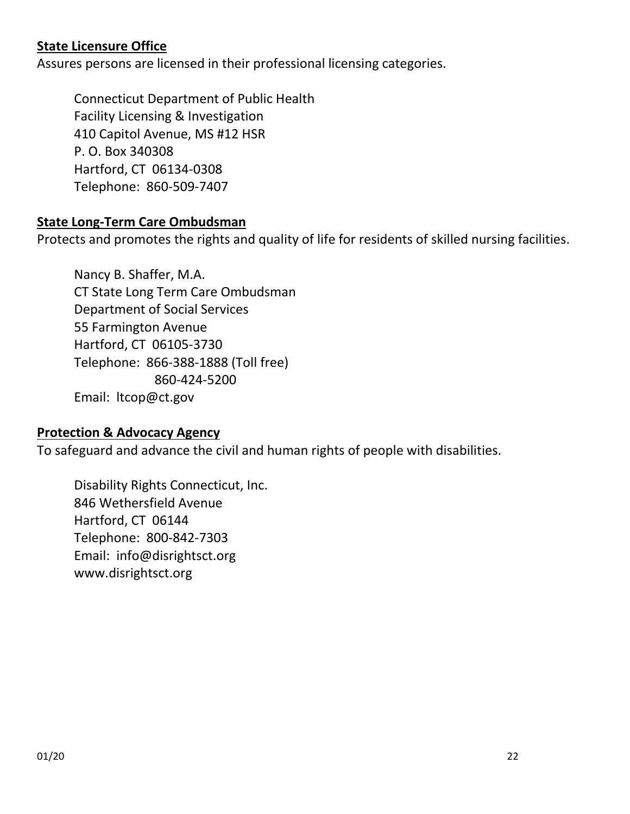## **State Licensure Office**

Assures persons are licensed in their professional licensing categories.

Connecticut Department of Public Health Facility Licensing & Investigation 410 Capitol Avenue, MS #12 HSR P. O. Box 340308 Hartford, CT 06134-0308 Telephone: 860-509-7407

## **State Long-Term Care Ombudsman**

Protects and promotes the rights and quality of life for residents of skilled nursing facilities.

Nancy B. Shaffer, M.A. CT State Long Term Care Ombudsman Department of Social Services 55 Farmington Avenue Hartford, CT 06105-3730 Telephone: 866-388-1888 (Toll free) 860-424-5200 Email: ltcop@ct.gov

## **Protection & Advocacy Agency**

To safeguard and advance the civil and human rights of people with disabilities.

Disability Rights Connecticut, Inc. 846 Wethersfield Avenue Hartford, CT 06144 Telephone: 800-842-7303 Email: info@disrightsct.org www.disrightsct.org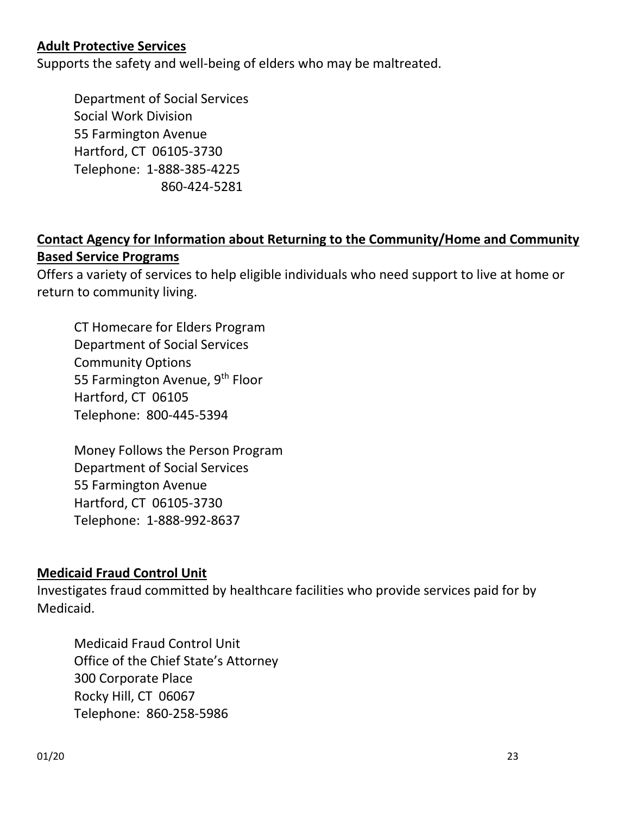## **Adult Protective Services**

Supports the safety and well-being of elders who may be maltreated.

Department of Social Services Social Work Division 55 Farmington Avenue Hartford, CT 06105-3730 Telephone: 1-888-385-4225 860-424-5281

## **Contact Agency for Information about Returning to the Community/Home and Community Based Service Programs**

Offers a variety of services to help eligible individuals who need support to live at home or return to community living.

CT Homecare for Elders Program Department of Social Services Community Options 55 Farmington Avenue, 9<sup>th</sup> Floor Hartford, CT 06105 Telephone: 800-445-5394

Money Follows the Person Program Department of Social Services 55 Farmington Avenue Hartford, CT 06105-3730 Telephone: 1-888-992-8637

## **Medicaid Fraud Control Unit**

Investigates fraud committed by healthcare facilities who provide services paid for by Medicaid.

Medicaid Fraud Control Unit Office of the Chief State's Attorney 300 Corporate Place Rocky Hill, CT 06067 Telephone: 860-258-5986